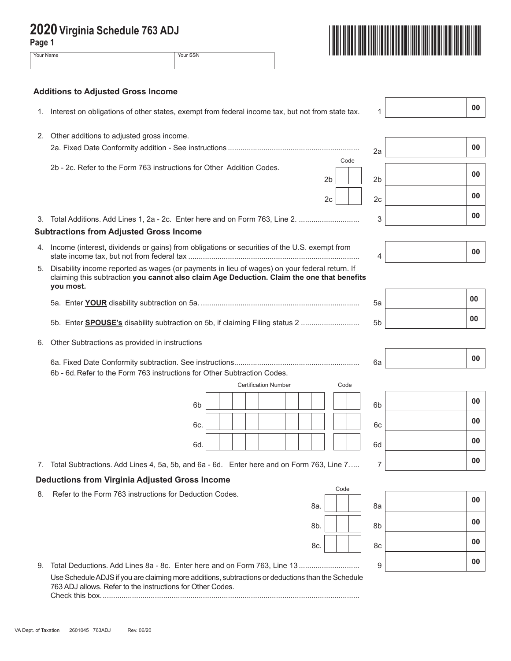| Page 1<br>Your Name | Your SSN                                                                                                                                                                                                 |      |                |    |
|---------------------|----------------------------------------------------------------------------------------------------------------------------------------------------------------------------------------------------------|------|----------------|----|
|                     |                                                                                                                                                                                                          |      |                |    |
|                     | <b>Additions to Adjusted Gross Income</b>                                                                                                                                                                |      |                | 00 |
| 1.                  | Interest on obligations of other states, exempt from federal income tax, but not from state tax.                                                                                                         |      | 1              |    |
| 2.                  | Other additions to adjusted gross income.                                                                                                                                                                |      |                |    |
|                     |                                                                                                                                                                                                          |      | 2a             | 00 |
|                     | 2b - 2c. Refer to the Form 763 instructions for Other Addition Codes.                                                                                                                                    | Code |                | 00 |
|                     | 2 <sub>b</sub>                                                                                                                                                                                           |      | 2 <sub>b</sub> |    |
|                     | 2c                                                                                                                                                                                                       |      | 2c             | 00 |
| 3.                  |                                                                                                                                                                                                          |      | 3              | 00 |
|                     | <b>Subtractions from Adjusted Gross Income</b>                                                                                                                                                           |      |                |    |
| 4.                  | Income (interest, dividends or gains) from obligations or securities of the U.S. exempt from                                                                                                             |      | 4              | 00 |
| 5.                  | Disability income reported as wages (or payments in lieu of wages) on your federal return. If<br>claiming this subtraction you cannot also claim Age Deduction. Claim the one that benefits<br>you most. |      |                |    |
|                     |                                                                                                                                                                                                          |      | 5a             | 00 |
|                     | 5b. Enter <b>SPOUSE's</b> disability subtraction on 5b, if claiming Filing status 2                                                                                                                      |      | 5 <sub>b</sub> | 00 |
| 6.                  | Other Subtractions as provided in instructions                                                                                                                                                           |      |                |    |
|                     | 6b - 6d. Refer to the Form 763 instructions for Other Subtraction Codes.                                                                                                                                 |      | 6a             | 00 |
|                     | <b>Certification Number</b>                                                                                                                                                                              | Code |                |    |
|                     | 6 <sub>b</sub>                                                                                                                                                                                           |      | 6 <sub>b</sub> | 00 |
|                     | 6c.                                                                                                                                                                                                      |      | 6c             | 00 |
|                     | 6d.                                                                                                                                                                                                      |      | 6d             | 00 |
|                     | 7. Total Subtractions. Add Lines 4, 5a, 5b, and 6a - 6d. Enter here and on Form 763, Line 7                                                                                                              |      | 7              | 00 |

## **Deductions from Virginia Adjusted Gross Income**

- 8. Refer to the Form 763 instructions for Deduction Codes.
- 9. Total Deductions. Add Lines 8a 8c. Enter here and on Form 763, Line 13 ............................. <sup>9</sup> **<sup>00</sup>** Use Schedule ADJS if you are claiming more additions, subtractions or deductions than the Schedule 763 ADJ allows. Refer to the instructions for Other Codes. Check this box............................................................................................................................

8a. | | | 8a

Code

## **00** 8b. **| | | | 8**b **00** 8c. **00 00**